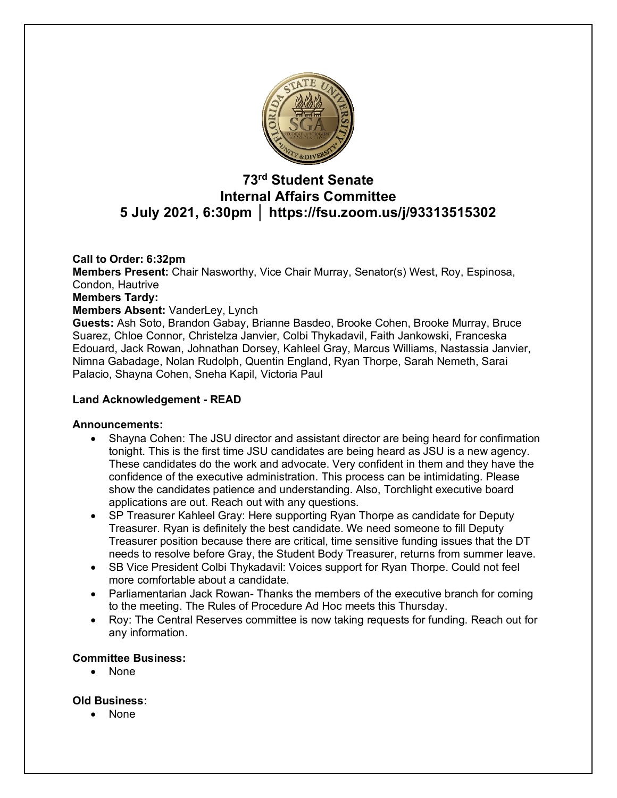

# **73rd Student Senate Internal Affairs Committee 5 July 2021, 6:30pm │ https://fsu.zoom.us/j/93313515302**

# **Call to Order: 6:32pm**

**Members Present:** Chair Nasworthy, Vice Chair Murray, Senator(s) West, Roy, Espinosa, Condon, Hautrive

#### **Members Tardy:**

#### **Members Absent:** VanderLey, Lynch

**Guests:** Ash Soto, Brandon Gabay, Brianne Basdeo, Brooke Cohen, Brooke Murray, Bruce Suarez, Chloe Connor, Christelza Janvier, Colbi Thykadavil, Faith Jankowski, Franceska Edouard, Jack Rowan, Johnathan Dorsey, Kahleel Gray, Marcus Williams, Nastassia Janvier, Nimna Gabadage, Nolan Rudolph, Quentin England, Ryan Thorpe, Sarah Nemeth, Sarai Palacio, Shayna Cohen, Sneha Kapil, Victoria Paul

#### **Land Acknowledgement - READ**

#### **Announcements:**

- Shayna Cohen: The JSU director and assistant director are being heard for confirmation tonight. This is the first time JSU candidates are being heard as JSU is a new agency. These candidates do the work and advocate. Very confident in them and they have the confidence of the executive administration. This process can be intimidating. Please show the candidates patience and understanding. Also, Torchlight executive board applications are out. Reach out with any questions.
- SP Treasurer Kahleel Gray: Here supporting Ryan Thorpe as candidate for Deputy Treasurer. Ryan is definitely the best candidate. We need someone to fill Deputy Treasurer position because there are critical, time sensitive funding issues that the DT needs to resolve before Gray, the Student Body Treasurer, returns from summer leave.
- SB Vice President Colbi Thykadavil: Voices support for Ryan Thorpe. Could not feel more comfortable about a candidate.
- Parliamentarian Jack Rowan- Thanks the members of the executive branch for coming to the meeting. The Rules of Procedure Ad Hoc meets this Thursday.
- Roy: The Central Reserves committee is now taking requests for funding. Reach out for any information.

# **Committee Business:**

• None

#### **Old Business:**

• None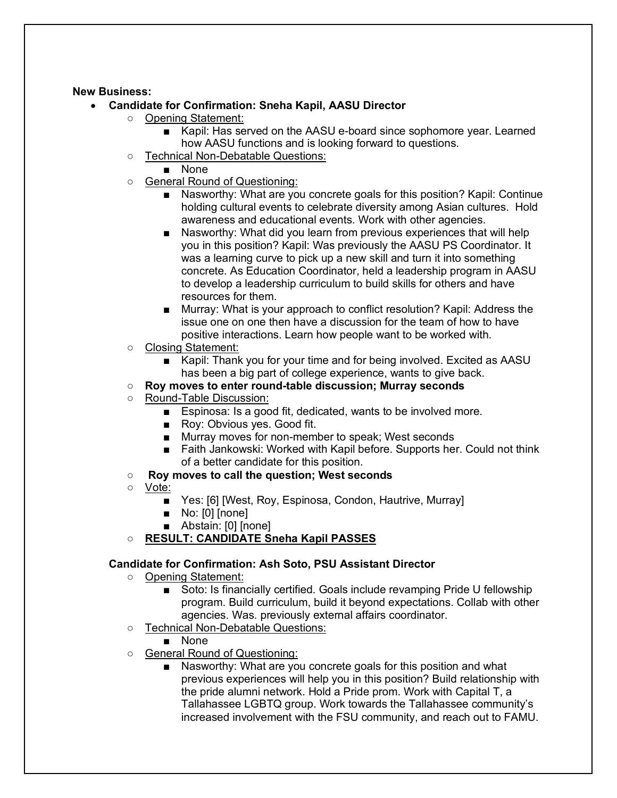#### **New Business:**

- **Candidate for Confirmation: Sneha Kapil, AASU Director**
	- Opening Statement:
		- Kapil: Has served on the AASU e-board since sophomore year. Learned how AASU functions and is looking forward to questions.
	- Technical Non-Debatable Questions:
		- None
	- General Round of Questioning:
		- Nasworthy: What are you concrete goals for this position? Kapil: Continue holding cultural events to celebrate diversity among Asian cultures. Hold awareness and educational events. Work with other agencies.
		- Nasworthy: What did you learn from previous experiences that will help you in this position? Kapil: Was previously the AASU PS Coordinator. It was a learning curve to pick up a new skill and turn it into something concrete. As Education Coordinator, held a leadership program in AASU to develop a leadership curriculum to build skills for others and have resources for them.
		- Murray: What is your approach to conflict resolution? Kapil: Address the issue one on one then have a discussion for the team of how to have positive interactions. Learn how people want to be worked with.
	- Closing Statement:
		- Kapil: Thank you for your time and for being involved. Excited as AASU has been a big part of college experience, wants to give back.
	- **Roy moves to enter round-table discussion; Murray seconds**
	- Round-Table Discussion:
		- Espinosa: Is a good fit, dedicated, wants to be involved more.
		- Roy: Obvious yes. Good fit.
		- Murray moves for non-member to speak; West seconds
		- Faith Jankowski: Worked with Kapil before. Supports her. Could not think of a better candidate for this position.
	- **Roy moves to call the question; West seconds**
	- Vote:
		- Yes: [6] [West, Roy, Espinosa, Condon, Hautrive, Murray]
		- No: [0] [none]
		- Abstain: [0] [none]

# ○ **RESULT: CANDIDATE Sneha Kapil PASSES**

# **Candidate for Confirmation: Ash Soto, PSU Assistant Director**

- Opening Statement:
	- Soto: Is financially certified. Goals include revamping Pride U fellowship program. Build curriculum, build it beyond expectations. Collab with other agencies. Was. previously external affairs coordinator.
- Technical Non-Debatable Questions:
	- None
- General Round of Questioning:
	- Nasworthy: What are you concrete goals for this position and what previous experiences will help you in this position? Build relationship with the pride alumni network. Hold a Pride prom. Work with Capital T, a Tallahassee LGBTQ group. Work towards the Tallahassee community's increased involvement with the FSU community, and reach out to FAMU.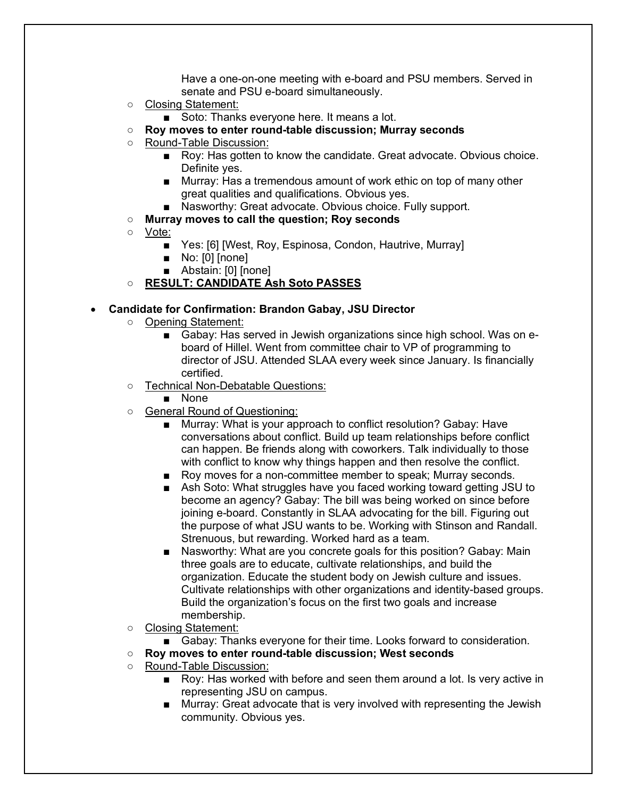Have a one-on-one meeting with e-board and PSU members. Served in senate and PSU e-board simultaneously.

- Closing Statement:
	- Soto: Thanks everyone here. It means a lot.
- **Roy moves to enter round-table discussion; Murray seconds**
- Round-Table Discussion:
	- Roy: Has gotten to know the candidate. Great advocate. Obvious choice. Definite yes.
	- Murray: Has a tremendous amount of work ethic on top of many other great qualities and qualifications. Obvious yes.
	- Nasworthy: Great advocate. Obvious choice. Fully support.
- **Murray moves to call the question; Roy seconds**
- Vote:
	- Yes: [6] [West, Roy, Espinosa, Condon, Hautrive, Murray]
	- No: [0] [none]
	- Abstain: [0] [none]
- **RESULT: CANDIDATE Ash Soto PASSES**

#### • **Candidate for Confirmation: Brandon Gabay, JSU Director**

- Opening Statement:
	- Gabay: Has served in Jewish organizations since high school. Was on eboard of Hillel. Went from committee chair to VP of programming to director of JSU. Attended SLAA every week since January. Is financially certified.
- Technical Non-Debatable Questions:
	- None
- General Round of Questioning:
	- Murray: What is your approach to conflict resolution? Gabay: Have conversations about conflict. Build up team relationships before conflict can happen. Be friends along with coworkers. Talk individually to those with conflict to know why things happen and then resolve the conflict.
	- Roy moves for a non-committee member to speak; Murray seconds.
	- Ash Soto: What struggles have you faced working toward getting JSU to become an agency? Gabay: The bill was being worked on since before joining e-board. Constantly in SLAA advocating for the bill. Figuring out the purpose of what JSU wants to be. Working with Stinson and Randall. Strenuous, but rewarding. Worked hard as a team.
	- Nasworthy: What are you concrete goals for this position? Gabay: Main three goals are to educate, cultivate relationships, and build the organization. Educate the student body on Jewish culture and issues. Cultivate relationships with other organizations and identity-based groups. Build the organization's focus on the first two goals and increase membership.
- Closing Statement:
	- Gabay: Thanks everyone for their time. Looks forward to consideration.
- **Roy moves to enter round-table discussion; West seconds**
- Round-Table Discussion:
	- Roy: Has worked with before and seen them around a lot. Is very active in representing JSU on campus.
	- Murray: Great advocate that is very involved with representing the Jewish community. Obvious yes.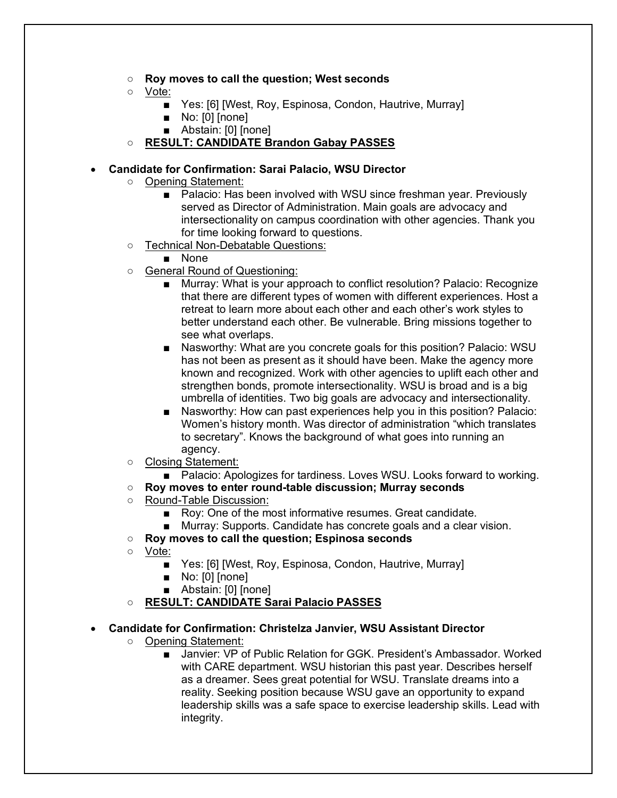- **Roy moves to call the question; West seconds**
- Vote:
	- Yes: [6] [West, Roy, Espinosa, Condon, Hautrive, Murray]
	- No: [0] [none]
	- Abstain: [0] [none]
- **RESULT: CANDIDATE Brandon Gabay PASSES**

# • **Candidate for Confirmation: Sarai Palacio, WSU Director**

- Opening Statement:
	- Palacio: Has been involved with WSU since freshman year. Previously served as Director of Administration. Main goals are advocacy and intersectionality on campus coordination with other agencies. Thank you for time looking forward to questions.
- Technical Non-Debatable Questions:
	- None
- General Round of Questioning:
	- Murray: What is your approach to conflict resolution? Palacio: Recognize that there are different types of women with different experiences. Host a retreat to learn more about each other and each other's work styles to better understand each other. Be vulnerable. Bring missions together to see what overlaps.
	- Nasworthy: What are you concrete goals for this position? Palacio: WSU has not been as present as it should have been. Make the agency more known and recognized. Work with other agencies to uplift each other and strengthen bonds, promote intersectionality. WSU is broad and is a big umbrella of identities. Two big goals are advocacy and intersectionality.
	- Nasworthy: How can past experiences help you in this position? Palacio: Women's history month. Was director of administration "which translates to secretary". Knows the background of what goes into running an agency.
- Closing Statement:
	- Palacio: Apologizes for tardiness. Loves WSU. Looks forward to working.
- **Roy moves to enter round-table discussion; Murray seconds**
- Round-Table Discussion:
	- Roy: One of the most informative resumes. Great candidate.
	- Murray: Supports. Candidate has concrete goals and a clear vision.
- **Roy moves to call the question; Espinosa seconds**
- Vote:
	- Yes: [6] [West, Roy, Espinosa, Condon, Hautrive, Murray]
	- No: [0] [none]
	- Abstain: [0] [none]
- **RESULT: CANDIDATE Sarai Palacio PASSES**

# • **Candidate for Confirmation: Christelza Janvier, WSU Assistant Director**

- Opening Statement:
	- Janvier: VP of Public Relation for GGK. President's Ambassador. Worked with CARE department. WSU historian this past year. Describes herself as a dreamer. Sees great potential for WSU. Translate dreams into a reality. Seeking position because WSU gave an opportunity to expand leadership skills was a safe space to exercise leadership skills. Lead with integrity.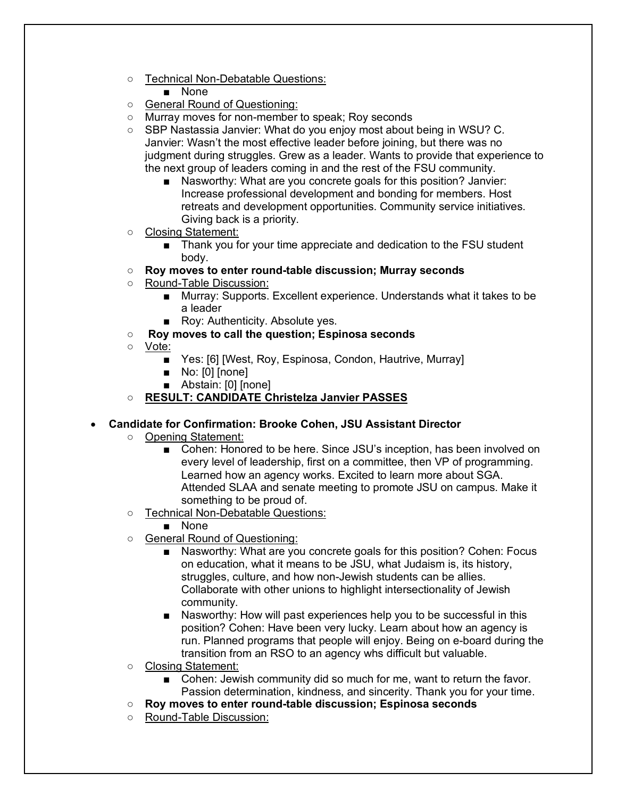- Technical Non-Debatable Questions:
	- None
- General Round of Questioning:
- Murray moves for non-member to speak; Roy seconds
- SBP Nastassia Janvier: What do you enjoy most about being in WSU? C. Janvier: Wasn't the most effective leader before joining, but there was no judgment during struggles. Grew as a leader. Wants to provide that experience to the next group of leaders coming in and the rest of the FSU community.
	- Nasworthy: What are you concrete goals for this position? Janvier: Increase professional development and bonding for members. Host retreats and development opportunities. Community service initiatives. Giving back is a priority.
- Closing Statement:
	- Thank you for your time appreciate and dedication to the FSU student body.
- **Roy moves to enter round-table discussion; Murray seconds**
- Round-Table Discussion:
	- Murray: Supports. Excellent experience. Understands what it takes to be a leader
	- Roy: Authenticity. Absolute yes.
- **Roy moves to call the question; Espinosa seconds**
- Vote:
	- Yes: [6] [West, Roy, Espinosa, Condon, Hautrive, Murray]
	- No: [0] [none]
	- Abstain: [0] [none]
- **RESULT: CANDIDATE Christelza Janvier PASSES**

# • **Candidate for Confirmation: Brooke Cohen, JSU Assistant Director**

- Opening Statement:
	- Cohen: Honored to be here. Since JSU's inception, has been involved on every level of leadership, first on a committee, then VP of programming. Learned how an agency works. Excited to learn more about SGA. Attended SLAA and senate meeting to promote JSU on campus. Make it something to be proud of.
- Technical Non-Debatable Questions:
	- None
- General Round of Questioning:
	- Nasworthy: What are you concrete goals for this position? Cohen: Focus on education, what it means to be JSU, what Judaism is, its history, struggles, culture, and how non-Jewish students can be allies. Collaborate with other unions to highlight intersectionality of Jewish community.
	- Nasworthy: How will past experiences help you to be successful in this position? Cohen: Have been very lucky. Learn about how an agency is run. Planned programs that people will enjoy. Being on e-board during the transition from an RSO to an agency whs difficult but valuable.
- Closing Statement:
	- Cohen: Jewish community did so much for me, want to return the favor. Passion determination, kindness, and sincerity. Thank you for your time.
- **Roy moves to enter round-table discussion; Espinosa seconds**
- Round-Table Discussion: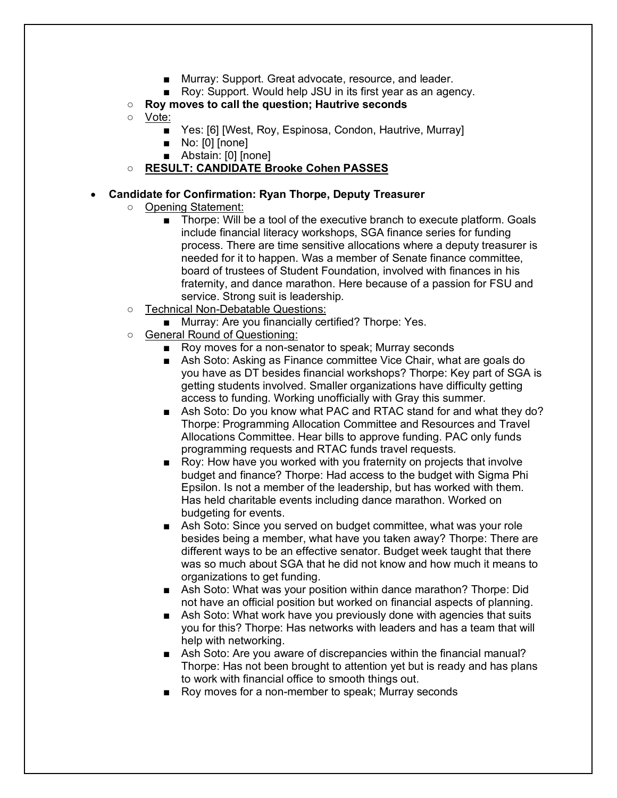- Murray: Support. Great advocate, resource, and leader.
- Roy: Support. Would help JSU in its first year as an agency.
- **Roy moves to call the question; Hautrive seconds**
- Vote:
	- Yes: [6] [West, Roy, Espinosa, Condon, Hautrive, Murray]
	- No: [0] [none]
	- Abstain: [0] [none]
- **RESULT: CANDIDATE Brooke Cohen PASSES**

# • **Candidate for Confirmation: Ryan Thorpe, Deputy Treasurer**

- Opening Statement:
	- Thorpe: Will be a tool of the executive branch to execute platform. Goals include financial literacy workshops, SGA finance series for funding process. There are time sensitive allocations where a deputy treasurer is needed for it to happen. Was a member of Senate finance committee, board of trustees of Student Foundation, involved with finances in his fraternity, and dance marathon. Here because of a passion for FSU and service. Strong suit is leadership.
- Technical Non-Debatable Questions:
	- Murray: Are you financially certified? Thorpe: Yes.
- General Round of Questioning:
	- Roy moves for a non-senator to speak; Murray seconds
	- Ash Soto: Asking as Finance committee Vice Chair, what are goals do you have as DT besides financial workshops? Thorpe: Key part of SGA is getting students involved. Smaller organizations have difficulty getting access to funding. Working unofficially with Gray this summer.
	- Ash Soto: Do you know what PAC and RTAC stand for and what they do? Thorpe: Programming Allocation Committee and Resources and Travel Allocations Committee. Hear bills to approve funding. PAC only funds programming requests and RTAC funds travel requests.
	- Roy: How have you worked with you fraternity on projects that involve budget and finance? Thorpe: Had access to the budget with Sigma Phi Epsilon. Is not a member of the leadership, but has worked with them. Has held charitable events including dance marathon. Worked on budgeting for events.
	- Ash Soto: Since you served on budget committee, what was your role besides being a member, what have you taken away? Thorpe: There are different ways to be an effective senator. Budget week taught that there was so much about SGA that he did not know and how much it means to organizations to get funding.
	- Ash Soto: What was your position within dance marathon? Thorpe: Did not have an official position but worked on financial aspects of planning.
	- Ash Soto: What work have you previously done with agencies that suits you for this? Thorpe: Has networks with leaders and has a team that will help with networking.
	- Ash Soto: Are you aware of discrepancies within the financial manual? Thorpe: Has not been brought to attention yet but is ready and has plans to work with financial office to smooth things out.
	- Roy moves for a non-member to speak; Murray seconds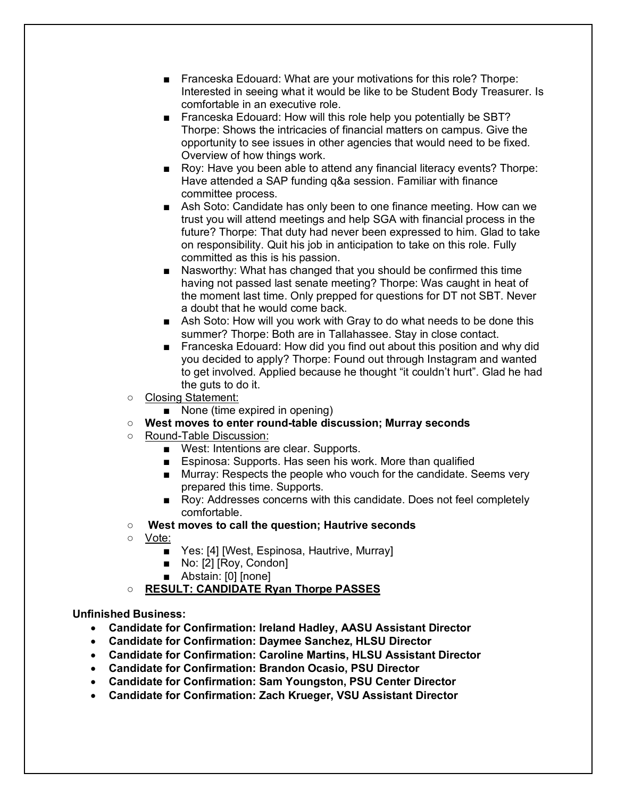- Franceska Edouard: What are your motivations for this role? Thorpe: Interested in seeing what it would be like to be Student Body Treasurer. Is comfortable in an executive role.
- Franceska Edouard: How will this role help you potentially be SBT? Thorpe: Shows the intricacies of financial matters on campus. Give the opportunity to see issues in other agencies that would need to be fixed. Overview of how things work.
- Roy: Have you been able to attend any financial literacy events? Thorpe: Have attended a SAP funding q&a session. Familiar with finance committee process.
- Ash Soto: Candidate has only been to one finance meeting. How can we trust you will attend meetings and help SGA with financial process in the future? Thorpe: That duty had never been expressed to him. Glad to take on responsibility. Quit his job in anticipation to take on this role. Fully committed as this is his passion.
- Nasworthy: What has changed that you should be confirmed this time having not passed last senate meeting? Thorpe: Was caught in heat of the moment last time. Only prepped for questions for DT not SBT. Never a doubt that he would come back.
- Ash Soto: How will you work with Gray to do what needs to be done this summer? Thorpe: Both are in Tallahassee. Stay in close contact.
- Franceska Edouard: How did you find out about this position and why did you decided to apply? Thorpe: Found out through Instagram and wanted to get involved. Applied because he thought "it couldn't hurt". Glad he had the guts to do it.
- Closing Statement:
	- None (time expired in opening)
- **West moves to enter round-table discussion; Murray seconds**
- Round-Table Discussion:
	- West: Intentions are clear. Supports.
	- Espinosa: Supports. Has seen his work. More than qualified
	- Murray: Respects the people who vouch for the candidate. Seems very prepared this time. Supports.
	- Roy: Addresses concerns with this candidate. Does not feel completely comfortable.
- **West moves to call the question; Hautrive seconds**
- Vote:
	- Yes: [4] [West, Espinosa, Hautrive, Murray]
	- No: [2] [Roy, Condon]
	- Abstain: [0] [none]
- **RESULT: CANDIDATE Ryan Thorpe PASSES**

**Unfinished Business:** 

- **Candidate for Confirmation: Ireland Hadley, AASU Assistant Director**
- **Candidate for Confirmation: Daymee Sanchez, HLSU Director**
- **Candidate for Confirmation: Caroline Martins, HLSU Assistant Director**
- **Candidate for Confirmation: Brandon Ocasio, PSU Director**
- **Candidate for Confirmation: Sam Youngston, PSU Center Director**
- **Candidate for Confirmation: Zach Krueger, VSU Assistant Director**